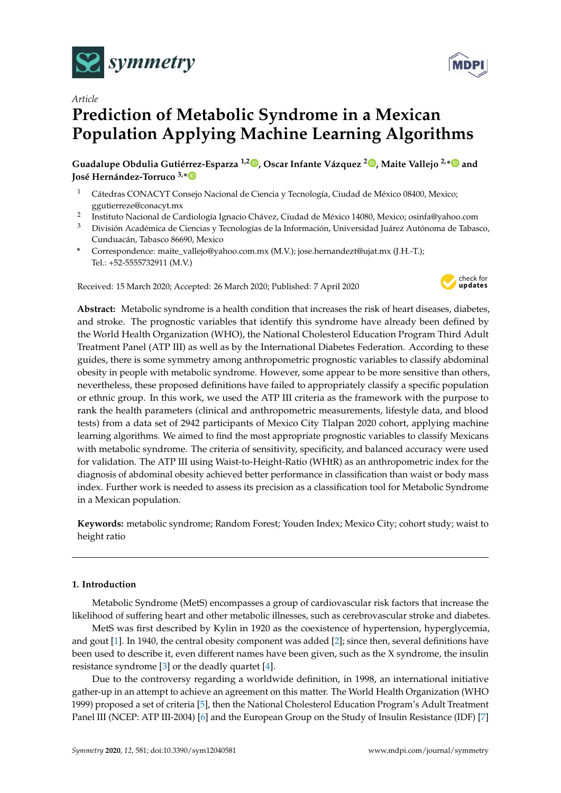



# **Prediction of Metabolic Syndrome in a Mexican Population Applying Machine Learning Algorithms**

**Guadalupe Obdulia Gutiérrez-Esparza 1,2 [,](https://orcid.org/0000-0003-0090-2701) Oscar Infante Vázquez [2](https://orcid.org/0000-0002-9975-5985) , Maite Vallejo 2,[\\*](https://orcid.org/0000-0001-5074-2473) and José Hernández-Torruco 3,[\\*](https://orcid.org/0000-0003-3146-9349)**

- <sup>1</sup> Cátedras CONACYT Consejo Nacional de Ciencia y Tecnología, Ciudad de México 08400, Mexico; ggutierreze@conacyt.mx
- $\mathcal{D}$ Instituto Nacional de Cardiología Ignacio Chávez, Ciudad de México 14080, Mexico; osinfa@yahoo.com
- <sup>3</sup> División Académica de Ciencias y Tecnologías de la Información, Universidad Juárez Autónoma de Tabasco, Cunduacán, Tabasco 86690, Mexico
- **\*** Correspondence: maite\_vallejo@yahoo.com.mx (M.V.); jose.hernandezt@ujat.mx (J.H.-T.); Tel.: +52-5555732911 (M.V.)

Received: 15 March 2020; Accepted: 26 March 2020; Published: 7 April 2020



**Abstract:** Metabolic syndrome is a health condition that increases the risk of heart diseases, diabetes, and stroke. The prognostic variables that identify this syndrome have already been defined by the World Health Organization (WHO), the National Cholesterol Education Program Third Adult Treatment Panel (ATP III) as well as by the International Diabetes Federation. According to these guides, there is some symmetry among anthropometric prognostic variables to classify abdominal obesity in people with metabolic syndrome. However, some appear to be more sensitive than others, nevertheless, these proposed definitions have failed to appropriately classify a specific population or ethnic group. In this work, we used the ATP III criteria as the framework with the purpose to rank the health parameters (clinical and anthropometric measurements, lifestyle data, and blood tests) from a data set of 2942 participants of Mexico City Tlalpan 2020 cohort, applying machine learning algorithms. We aimed to find the most appropriate prognostic variables to classify Mexicans with metabolic syndrome. The criteria of sensitivity, specificity, and balanced accuracy were used for validation. The ATP III using Waist-to-Height-Ratio (WHtR) as an anthropometric index for the diagnosis of abdominal obesity achieved better performance in classification than waist or body mass index. Further work is needed to assess its precision as a classification tool for Metabolic Syndrome in a Mexican population.

**Keywords:** metabolic syndrome; Random Forest; Youden Index; Mexico City; cohort study; waist to height ratio

## **1. Introduction**

Metabolic Syndrome (MetS) encompasses a group of cardiovascular risk factors that increase the likelihood of suffering heart and other metabolic illnesses, such as cerebrovascular stroke and diabetes.

MetS was first described by Kylin in 1920 as the coexistence of hypertension, hyperglycemia, and gout [\[1\]](#page-11-0). In 1940, the central obesity component was added [\[2\]](#page-11-1); since then, several definitions have been used to describe it, even different names have been given, such as the X syndrome, the insulin resistance syndrome [\[3\]](#page-11-2) or the deadly quartet [\[4\]](#page-11-3).

Due to the controversy regarding a worldwide definition, in 1998, an international initiative gather-up in an attempt to achieve an agreement on this matter. The World Health Organization (WHO 1999) proposed a set of criteria [\[5\]](#page-11-4), then the National Cholesterol Education Program's Adult Treatment Panel III (NCEP: ATP III-2004) [\[6\]](#page-11-5) and the European Group on the Study of Insulin Resistance (IDF) [\[7\]](#page-12-0)

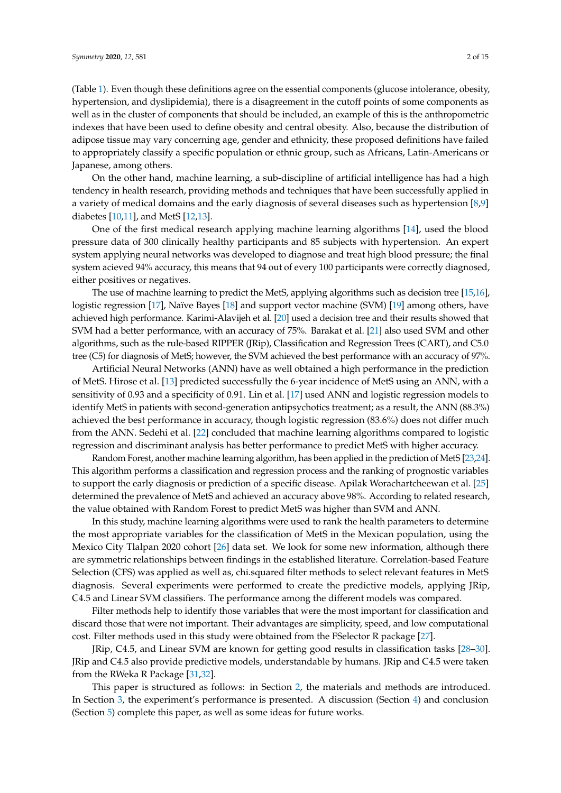(Table [1\)](#page-2-0). Even though these definitions agree on the essential components (glucose intolerance, obesity, hypertension, and dyslipidemia), there is a disagreement in the cutoff points of some components as well as in the cluster of components that should be included, an example of this is the anthropometric indexes that have been used to define obesity and central obesity. Also, because the distribution of adipose tissue may vary concerning age, gender and ethnicity, these proposed definitions have failed to appropriately classify a specific population or ethnic group, such as Africans, Latin-Americans or Japanese, among others.

On the other hand, machine learning, a sub-discipline of artificial intelligence has had a high tendency in health research, providing methods and techniques that have been successfully applied in a variety of medical domains and the early diagnosis of several diseases such as hypertension [\[8](#page-12-1)[,9\]](#page-12-2) diabetes [\[10](#page-12-3)[,11\]](#page-12-4), and MetS [\[12](#page-12-5)[,13\]](#page-12-6).

One of the first medical research applying machine learning algorithms [\[14\]](#page-12-7), used the blood pressure data of 300 clinically healthy participants and 85 subjects with hypertension. An expert system applying neural networks was developed to diagnose and treat high blood pressure; the final system acieved 94% accuracy, this means that 94 out of every 100 participants were correctly diagnosed, either positives or negatives.

The use of machine learning to predict the MetS, applying algorithms such as decision tree [\[15](#page-12-8)[,16\]](#page-12-9), logistic regression [\[17\]](#page-12-10), Naïve Bayes [\[18\]](#page-12-11) and support vector machine (SVM) [\[19\]](#page-12-12) among others, have achieved high performance. Karimi-Alavijeh et al. [\[20\]](#page-12-13) used a decision tree and their results showed that SVM had a better performance, with an accuracy of 75%. Barakat et al. [\[21\]](#page-12-14) also used SVM and other algorithms, such as the rule-based RIPPER (JRip), Classification and Regression Trees (CART), and C5.0 tree (C5) for diagnosis of MetS; however, the SVM achieved the best performance with an accuracy of 97%.

Artificial Neural Networks (ANN) have as well obtained a high performance in the prediction of MetS. Hirose et al. [\[13\]](#page-12-6) predicted successfully the 6-year incidence of MetS using an ANN, with a sensitivity of 0.93 and a specificity of 0.91. Lin et al. [\[17\]](#page-12-10) used ANN and logistic regression models to identify MetS in patients with second-generation antipsychotics treatment; as a result, the ANN (88.3%) achieved the best performance in accuracy, though logistic regression (83.6%) does not differ much from the ANN. Sedehi et al. [\[22\]](#page-12-15) concluded that machine learning algorithms compared to logistic regression and discriminant analysis has better performance to predict MetS with higher accuracy.

Random Forest, another machine learning algorithm, has been applied in the prediction of MetS [\[23](#page-12-16)[,24\]](#page-12-17). This algorithm performs a classification and regression process and the ranking of prognostic variables to support the early diagnosis or prediction of a specific disease. Apilak Worachartcheewan et al. [\[25\]](#page-12-18) determined the prevalence of MetS and achieved an accuracy above 98%. According to related research, the value obtained with Random Forest to predict MetS was higher than SVM and ANN.

In this study, machine learning algorithms were used to rank the health parameters to determine the most appropriate variables for the classification of MetS in the Mexican population, using the Mexico City Tlalpan 2020 cohort [\[26\]](#page-12-19) data set. We look for some new information, although there are symmetric relationships between findings in the established literature. Correlation-based Feature Selection (CFS) was applied as well as, chi.squared filter methods to select relevant features in MetS diagnosis. Several experiments were performed to create the predictive models, applying JRip, C4.5 and Linear SVM classifiers. The performance among the different models was compared.

Filter methods help to identify those variables that were the most important for classification and discard those that were not important. Their advantages are simplicity, speed, and low computational cost. Filter methods used in this study were obtained from the FSelector R package [\[27\]](#page-13-0).

JRip, C4.5, and Linear SVM are known for getting good results in classification tasks [\[28–](#page-13-1)[30\]](#page-13-2). JRip and C4.5 also provide predictive models, understandable by humans. JRip and C4.5 were taken from the RWeka R Package [\[31](#page-13-3)[,32\]](#page-13-4).

This paper is structured as follows: in Section [2,](#page-2-1) the materials and methods are introduced. In Section [3,](#page-4-0) the experiment's performance is presented. A discussion (Section [4\)](#page-9-0) and conclusion (Section [5\)](#page-11-6) complete this paper, as well as some ideas for future works.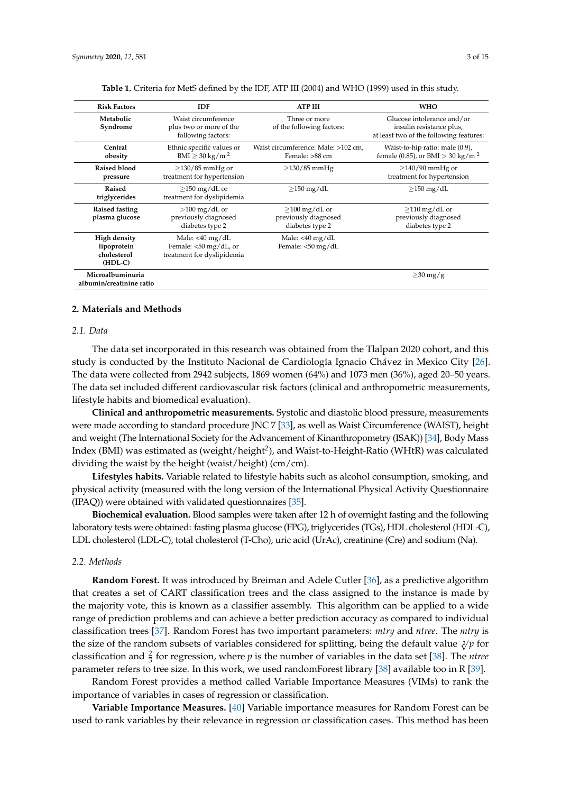<span id="page-2-0"></span>

| <b>Risk Factors</b>                                     | <b>IDF</b>                                                                   | <b>ATP III</b>                                                 | <b>WHO</b>                                                                                        |
|---------------------------------------------------------|------------------------------------------------------------------------------|----------------------------------------------------------------|---------------------------------------------------------------------------------------------------|
| Metabolic<br>Syndrome                                   | Waist circumference<br>plus two or more of the<br>following factors:         | Three or more<br>of the following factors:                     | Glucose intolerance and/or<br>insulin resistance plus,<br>at least two of the following features: |
| Central<br>obesity                                      | Ethnic specific values or<br>$BMI \geq 30$ kg/m <sup>2</sup>                 | Waist circumference: Male: >102 cm,<br>Female: >88 cm          | Waist-to-hip ratio: male (0.9),<br>female (0.85), or BMI > 30 kg/m <sup>2</sup>                   |
| Raised blood<br>pressure                                | $>130/85$ mmHg or<br>treatment for hypertension                              | $\geq$ 130/85 mmHg                                             | $>140/90$ mmHg or<br>treatment for hypertension                                                   |
| Raised<br>triglycerides                                 | $\geq$ 150 mg/dL or<br>treatment for dyslipidemia                            | $\geq$ 150 mg/dL                                               | $>150$ mg/dL                                                                                      |
| Raised fasting<br>plasma glucose                        | $>100$ mg/dL or<br>previously diagnosed<br>diabetes type 2                   | $\geq$ 100 mg/dL or<br>previously diagnosed<br>diabetes type 2 | $\geq$ 110 mg/dL or<br>previously diagnosed<br>diabetes type 2                                    |
| High density<br>lipoprotein<br>cholesterol<br>$(HDL-C)$ | Male: $<$ 40 mg/dL<br>Female: $<$ 50 mg/dL, or<br>treatment for dyslipidemia | Male: $<$ 40 mg/dL<br>Female: <50 mg/dL                        |                                                                                                   |
| Microalbuminuria<br>albumin/creatinine ratio            |                                                                              |                                                                | $\geq$ 30 mg/g                                                                                    |

| Table 1. Criteria for MetS defined by the IDF, ATP III (2004) and WHO (1999) used in this study. |  |  |  |
|--------------------------------------------------------------------------------------------------|--|--|--|
|--------------------------------------------------------------------------------------------------|--|--|--|

## <span id="page-2-1"></span>**2. Materials and Methods**

#### *2.1. Data*

The data set incorporated in this research was obtained from the Tlalpan 2020 cohort, and this study is conducted by the Instituto Nacional de Cardiología Ignacio Chávez in Mexico City [\[26\]](#page-12-19). The data were collected from 2942 subjects, 1869 women (64%) and 1073 men (36%), aged 20–50 years. The data set included different cardiovascular risk factors (clinical and anthropometric measurements, lifestyle habits and biomedical evaluation).

**Clinical and anthropometric measurements.** Systolic and diastolic blood pressure, measurements were made according to standard procedure JNC 7 [\[33\]](#page-13-5), as well as Waist Circumference (WAIST), height and weight (The International Society for the Advancement of Kinanthropometry (ISAK)) [\[34\]](#page-13-6), Body Mass Index (BMI) was estimated as (weight/height $^2$ ), and Waist-to-Height-Ratio (WHtR) was calculated dividing the waist by the height (waist/height) (cm/cm).

**Lifestyles habits.** Variable related to lifestyle habits such as alcohol consumption, smoking, and physical activity (measured with the long version of the International Physical Activity Questionnaire (IPAQ)) were obtained with validated questionnaires [\[35\]](#page-13-7).

**Biochemical evaluation.** Blood samples were taken after 12 h of overnight fasting and the following laboratory tests were obtained: fasting plasma glucose (FPG), triglycerides (TGs), HDL cholesterol (HDL-C), LDL cholesterol (LDL-C), total cholesterol (T-Cho), uric acid (UrAc), creatinine (Cre) and sodium (Na).

## *2.2. Methods*

**Random Forest.** It was introduced by Breiman and Adele Cutler [\[36\]](#page-13-8), as a predictive algorithm that creates a set of CART classification trees and the class assigned to the instance is made by the majority vote, this is known as a classifier assembly. This algorithm can be applied to a wide range of prediction problems and can achieve a better prediction accuracy as compared to individual classification trees [\[37\]](#page-13-9). Random Forest has two important parameters: *mtry* and *ntree*. The *mtry* is the size of the random subsets of variables considered for splitting, being the default value  $\sqrt[2]{p}$  for classification and  $\frac{2}{3}$  for regression, where *p* is the number of variables in the data set [\[38\]](#page-13-10). The *ntree* parameter refers to tree size. In this work, we used randomForest library [\[38\]](#page-13-10) available too in R [\[39\]](#page-13-11).

Random Forest provides a method called Variable Importance Measures (VIMs) to rank the importance of variables in cases of regression or classification.

**Variable Importance Measures.** [\[40\]](#page-13-12) Variable importance measures for Random Forest can be used to rank variables by their relevance in regression or classification cases. This method has been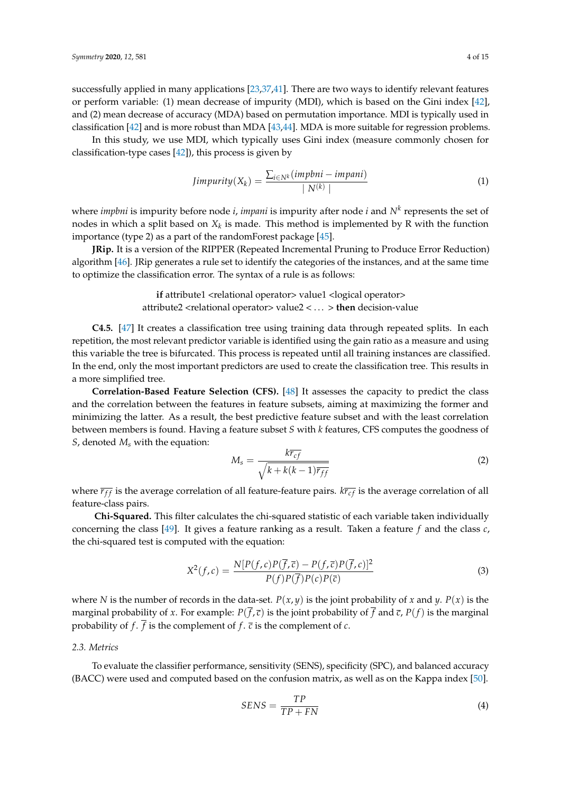successfully applied in many applications [\[23,](#page-12-16)[37](#page-13-9)[,41\]](#page-13-13). There are two ways to identify relevant features or perform variable: (1) mean decrease of impurity (MDI), which is based on the Gini index [\[42\]](#page-13-14), and (2) mean decrease of accuracy (MDA) based on permutation importance. MDI is typically used in classification [\[42\]](#page-13-14) and is more robust than MDA [\[43](#page-13-15)[,44\]](#page-13-16). MDA is more suitable for regression problems.

In this study, we use MDI, which typically uses Gini index (measure commonly chosen for classification-type cases [\[42\]](#page-13-14)), this process is given by

$$
Jimpurity(X_k) = \frac{\sum_{i \in N^k}(impbni - impani)}{|N^{(k)}|}
$$
\n(1)

where *impbni* is impurity before node *i*, *impani* is impurity after node *i* and *N<sup>k</sup>* represents the set of nodes in which a split based on *X<sup>k</sup>* is made. This method is implemented by R with the function importance (type 2) as a part of the randomForest package [\[45\]](#page-13-17).

**JRip.** It is a version of the RIPPER (Repeated Incremental Pruning to Produce Error Reduction) algorithm [\[46\]](#page-13-18). JRip generates a rule set to identify the categories of the instances, and at the same time to optimize the classification error. The syntax of a rule is as follows:

> **if** attribute1 <relational operator> value1 <logical operator> attribute2 <relational operator> value2 < . . . > **then** decision-value

**C4.5.** [\[47\]](#page-13-19) It creates a classification tree using training data through repeated splits. In each repetition, the most relevant predictor variable is identified using the gain ratio as a measure and using this variable the tree is bifurcated. This process is repeated until all training instances are classified. In the end, only the most important predictors are used to create the classification tree. This results in a more simplified tree.

**Correlation-Based Feature Selection (CFS).** [\[48\]](#page-13-20) It assesses the capacity to predict the class and the correlation between the features in feature subsets, aiming at maximizing the former and minimizing the latter. As a result, the best predictive feature subset and with the least correlation between members is found. Having a feature subset *S* with *k* features, CFS computes the goodness of *S*, denoted *M<sup>s</sup>* with the equation:

$$
M_s = \frac{k\overline{r_{cf}}}{\sqrt{k + k(k-1)\overline{r_{ff}}}}
$$
(2)

where  $\overline{r_{ff}}$  is the average correlation of all feature-feature pairs.  $k\overline{r_{cf}}$  is the average correlation of all feature-class pairs.

**Chi-Squared.** This filter calculates the chi-squared statistic of each variable taken individually concerning the class [\[49\]](#page-13-21). It gives a feature ranking as a result. Taken a feature *f* and the class *c*, the chi-squared test is computed with the equation:

$$
X^{2}(f,c) = \frac{N[P(f,c)P(\overline{f},\overline{c}) - P(f,\overline{c})P(\overline{f},c)]^{2}}{P(f)P(\overline{f})P(c)P(\overline{c})}
$$
(3)

where *N* is the number of records in the data-set.  $P(x, y)$  is the joint probability of *x* and *y*.  $P(x)$  is the marginal probability of *x*. For example:  $P(\bar{f}, \bar{c})$  is the joint probability of  $\bar{f}$  and  $\bar{c}$ ,  $P(f)$  is the marginal probability of  $f$ .  $\overline{f}$  is the complement of  $f$ .  $\overline{c}$  is the complement of  $c$ .

## *2.3. Metrics*

To evaluate the classifier performance, sensitivity (SENS), specificity (SPC), and balanced accuracy (BACC) were used and computed based on the confusion matrix, as well as on the Kappa index [\[50\]](#page-13-22).

$$
SENS = \frac{TP}{TP + FN} \tag{4}
$$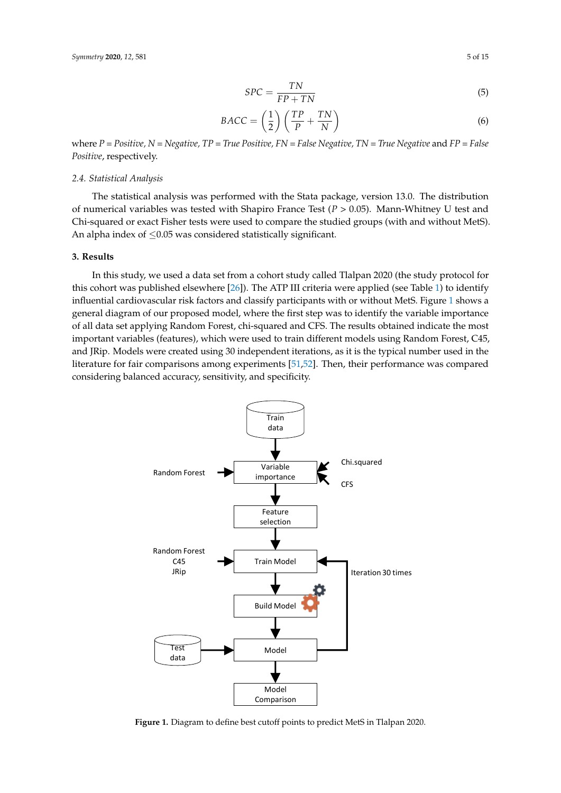$$
BACC = \left(\frac{1}{2}\right)\left(\frac{TP}{P} + \frac{TN}{N}\right)
$$
\n(6)

where *P = Positive, N = Negative, TP = True Positive, FN = False Negative, TN = True Negative* and *FP = False Positive*, respectively.

## *2.4. Statistical Analysis*

The statistical analysis was performed with the Stata package, version 13.0. The distribution of numerical variables was tested with Shapiro France Test (*P* > 0.05). Mann-Whitney U test and Chi-squared or exact Fisher tests were used to compare the studied groups (with and without MetS). An alpha index of  $\leq 0.05$  was considered statistically significant.

## <span id="page-4-0"></span>**3. Results**

In this study, we used a data set from a cohort study called Tlalpan 2020 (the study protocol for this cohort was published elsewhere [\[26\]](#page-12-19)). The ATP III criteria were applied (see Table [1\)](#page-2-0) to identify influential cardiovascular risk factors and classify participants with or without MetS. Figure [1](#page-4-1) shows a general diagram of our proposed model, where the first step was to identify the variable importance of all data set applying Random Forest, chi-squared and CFS. The results obtained indicate the most important variables (features), which were used to train different models using Random Forest, C45, and JRip. Models were created using 30 independent iterations, as it is the typical number used in the literature for fair comparisons among experiments [\[51](#page-13-23)[,52\]](#page-13-24). Then, their performance was compared considering balanced accuracy, sensitivity, and specificity.

<span id="page-4-1"></span>

**Figure 1.** Diagram to define best cutoff points to predict MetS in Tlalpan 2020.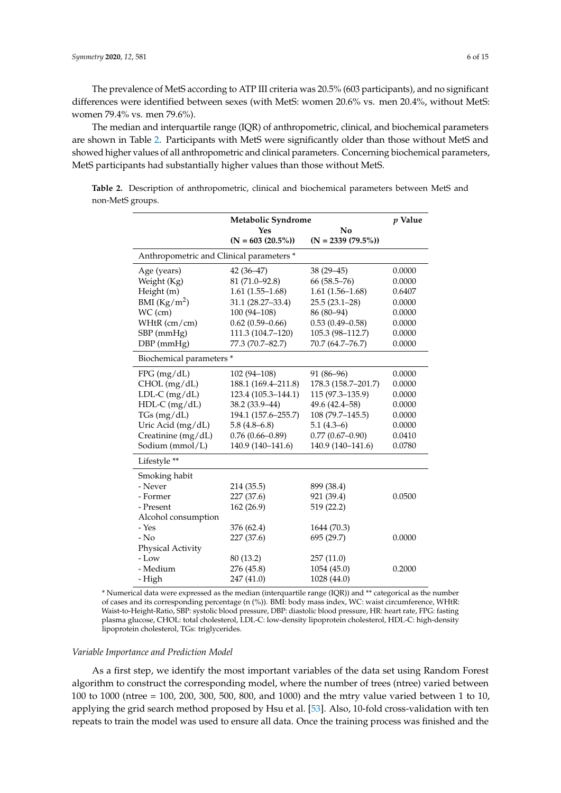The prevalence of MetS according to ATP III criteria was 20.5% (603 participants), and no significant differences were identified between sexes (with MetS: women 20.6% vs. men 20.4%, without MetS: women 79.4% vs. men 79.6%).

The median and interquartile range (IQR) of anthropometric, clinical, and biochemical parameters are shown in Table [2.](#page-5-0) Participants with MetS were significantly older than those without MetS and showed higher values of all anthropometric and clinical parameters. Concerning biochemical parameters, MetS participants had substantially higher values than those without MetS.

|                                          | Metabolic Syndrome         |                                        |        |  |
|------------------------------------------|----------------------------|----------------------------------------|--------|--|
|                                          | Yes<br>$(N = 603 (20.5\%)$ | N <sub>0</sub><br>$(N = 2339 (79.5\%)$ |        |  |
|                                          |                            |                                        |        |  |
| Anthropometric and Clinical parameters * |                            |                                        |        |  |
| Age (years)                              | $42(36 - 47)$              | $38(29 - 45)$                          | 0.0000 |  |
| Weight (Kg)                              | 81 (71.0–92.8)             | 66 (58.5–76)                           | 0.0000 |  |
| Height (m)                               | $1.61(1.55-1.68)$          | $1.61(1.56-1.68)$                      | 0.6407 |  |
| BMI $(Kg/m^2)$                           | 31.1 (28.27-33.4)          | $25.5(23.1-28)$                        | 0.0000 |  |
| WC (cm)                                  | 100 (94-108)               | 86 (80-94)                             | 0.0000 |  |
| WHtR (cm/cm)                             | $0.62(0.59 - 0.66)$        | $0.53(0.49 - 0.58)$                    | 0.0000 |  |
| SBP (mmHg)                               | 111.3 (104.7-120)          | 105.3 (98-112.7)                       | 0.0000 |  |
| DBP (mmHg)                               | 77.3 (70.7-82.7)           | 70.7 (64.7-76.7)                       | 0.0000 |  |
| Biochemical parameters *                 |                            |                                        |        |  |
| FPG (mg/dL)                              | 102 (94-108)               | 91 (86-96)                             | 0.0000 |  |
| CHOL (mg/dL)                             | 188.1 (169.4-211.8)        | 178.3 (158.7-201.7)                    | 0.0000 |  |
| $LDL-C$ (mg/dL)                          | 123.4 (105.3–144.1)        | 115 (97.3-135.9)                       | 0.0000 |  |
| $HDL-C$ (mg/dL)                          | 38.2 (33.9-44)             | 49.6 (42.4-58)                         | 0.0000 |  |
| TGs (mg/dL)                              | 194.1 (157.6-255.7)        | 108 (79.7-145.5)                       | 0.0000 |  |
| Uric Acid (mg/dL)                        | $5.8(4.8-6.8)$             | $5.1(4.3-6)$                           | 0.0000 |  |
| Creatinine (mg/dL)                       | $0.76(0.66 - 0.89)$        | $0.77(0.67 - 0.90)$                    | 0.0410 |  |
| Sodium (mmol/L)                          | 140.9 (140-141.6)          | 140.9 (140-141.6)                      | 0.0780 |  |
| Lifestyle **                             |                            |                                        |        |  |
| Smoking habit                            |                            |                                        |        |  |
| - Never                                  | 214 (35.5)                 | 899 (38.4)                             |        |  |
| - Former                                 | 227 (37.6)                 | 921 (39.4)                             | 0.0500 |  |
| - Present                                | 162 (26.9)                 | 519 (22.2)                             |        |  |
| Alcohol consumption                      |                            |                                        |        |  |
| - Yes                                    | 376 (62.4)                 | 1644 (70.3)                            |        |  |
| $-$ No                                   | 227 (37.6)                 | 695 (29.7)                             | 0.0000 |  |
| Physical Activity                        |                            |                                        |        |  |
| $-Low$                                   | 80 (13.2)                  | 257 (11.0)                             |        |  |
| - Medium                                 | 276 (45.8)                 | 1054 (45.0)                            | 0.2000 |  |
| - High                                   | 247 (41.0)                 | 1028 (44.0)                            |        |  |

<span id="page-5-0"></span>**Table 2.** Description of anthropometric, clinical and biochemical parameters between MetS and non-MetS groups.

\* Numerical data were expressed as the median (interquartile range (IQR)) and \*\* categorical as the number of cases and its corresponding percentage (n (%)). BMI: body mass index, WC: waist circumference, WHtR: Waist-to-Height-Ratio, SBP: systolic blood pressure, DBP: diastolic blood pressure, HR: heart rate, FPG: fasting plasma glucose, CHOL: total cholesterol, LDL-C: low-density lipoprotein cholesterol, HDL-C: high-density lipoprotein cholesterol, TGs: triglycerides.

#### *Variable Importance and Prediction Model*

As a first step, we identify the most important variables of the data set using Random Forest algorithm to construct the corresponding model, where the number of trees (ntree) varied between 100 to 1000 (ntree = 100, 200, 300, 500, 800, and 1000) and the mtry value varied between 1 to 10, applying the grid search method proposed by Hsu et al. [\[53\]](#page-14-0). Also, 10-fold cross-validation with ten repeats to train the model was used to ensure all data. Once the training process was finished and the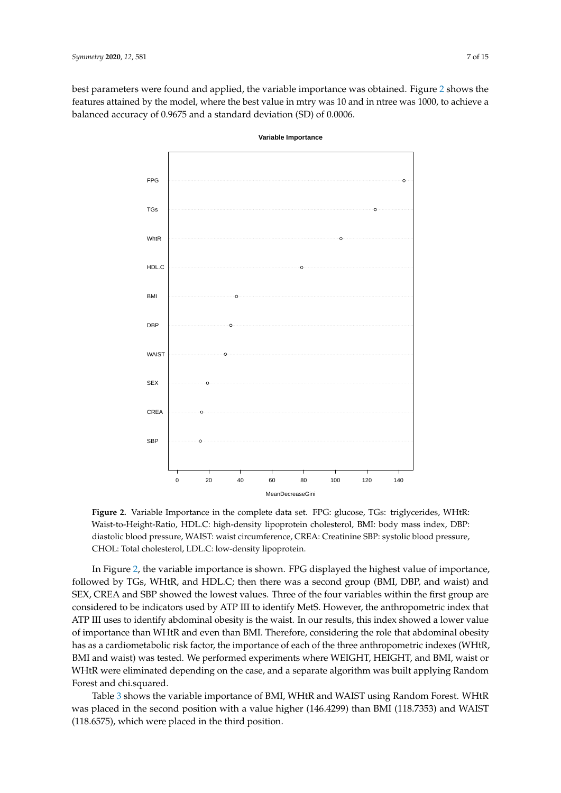<span id="page-6-0"></span>best parameters were found and applied, the variable importance was obtained. Figure [2](#page-6-0) shows the features attained by the model, where the best value in mtry was 10 and in ntree was 1000, to achieve a balanced accuracy of 0.9675 and a standard deviation (SD) of 0.0006.



**Variable Importance**

**Figure 2.** Variable Importance in the complete data set. FPG: glucose, TGs: triglycerides, WHtR: Waist-to-Height-Ratio, HDL.C: high-density lipoprotein cholesterol, BMI: body mass index, DBP: diastolic blood pressure, WAIST: waist circumference, CREA: Creatinine SBP: systolic blood pressure, CHOL: Total cholesterol, LDL.C: low-density lipoprotein.

In Figure [2,](#page-6-0) the variable importance is shown. FPG displayed the highest value of importance, followed by TGs, WHtR, and HDL.C; then there was a second group (BMI, DBP, and waist) and SEX, CREA and SBP showed the lowest values. Three of the four variables within the first group are considered to be indicators used by ATP III to identify MetS. However, the anthropometric index that ATP III uses to identify abdominal obesity is the waist. In our results, this index showed a lower value of importance than WHtR and even than BMI. Therefore, considering the role that abdominal obesity has as a cardiometabolic risk factor, the importance of each of the three anthropometric indexes (WHtR, BMI and waist) was tested. We performed experiments where WEIGHT, HEIGHT, and BMI, waist or WHtR were eliminated depending on the case, and a separate algorithm was built applying Random Forest and chi.squared.

Table [3](#page-7-0) shows the variable importance of BMI, WHtR and WAIST using Random Forest. WHtR was placed in the second position with a value higher (146.4299) than BMI (118.7353) and WAIST (118.6575), which were placed in the third position.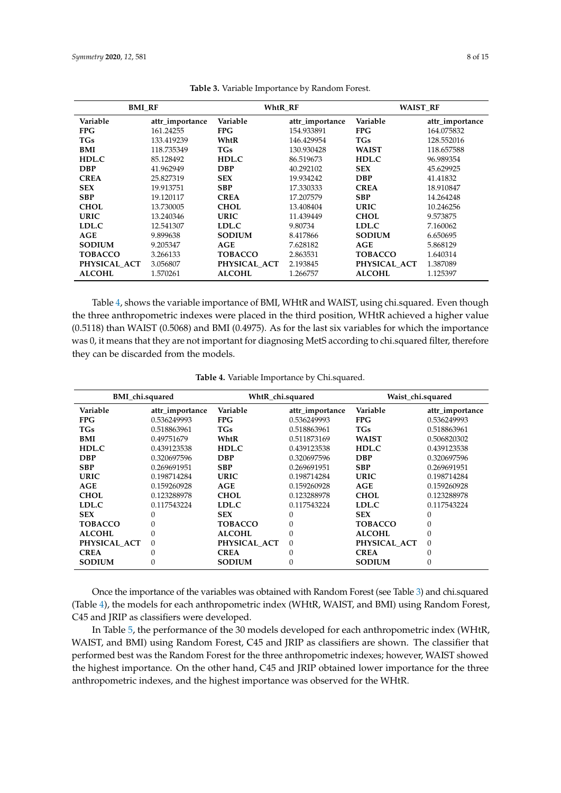<span id="page-7-0"></span>

| <b>BMI RF</b>  |                 | WhtR RF        |                 | <b>WAIST RF</b> |                 |
|----------------|-----------------|----------------|-----------------|-----------------|-----------------|
| Variable       | attr_importance | Variable       | attr_importance | Variable        | attr_importance |
| <b>FPG</b>     | 161.24255       | <b>FPG</b>     | 154.933891      | <b>FPG</b>      | 164.075832      |
| <b>TGs</b>     | 133.419239      | WhtR           | 146.429954      | <b>TGs</b>      | 128.552016      |
| <b>BMI</b>     | 118.735349      | TGs            | 130.930428      | <b>WAIST</b>    | 118.657588      |
| HDL.C          | 85.128492       | HDL.C          | 86.519673       | HDL.C           | 96.989354       |
| <b>DBP</b>     | 41.962949       | <b>DBP</b>     | 40.292102       | <b>SEX</b>      | 45.629925       |
| <b>CREA</b>    | 25.827319       | <b>SEX</b>     | 19.934242       | <b>DBP</b>      | 41.41832        |
| <b>SEX</b>     | 19.913751       | <b>SBP</b>     | 17.330333       | <b>CREA</b>     | 18.910847       |
| <b>SBP</b>     | 19.120117       | <b>CREA</b>    | 17.207579       | <b>SBP</b>      | 14.264248       |
| <b>CHOL</b>    | 13.730005       | <b>CHOL</b>    | 13.408404       | <b>URIC</b>     | 10.246256       |
| <b>URIC</b>    | 13.240346       | <b>URIC</b>    | 11.439449       | <b>CHOL</b>     | 9.573875        |
| LDL.C          | 12.541307       | LDL.C          | 9.80734         | LDL.C           | 7.160062        |
| AGE            | 9.899638        | <b>SODIUM</b>  | 8.417866        | <b>SODIUM</b>   | 6.650695        |
| <b>SODIUM</b>  | 9.205347        | AGE            | 7.628182        | AGE             | 5.868129        |
| <b>TOBACCO</b> | 3.266133        | <b>TOBACCO</b> | 2.863531        | <b>TOBACCO</b>  | 1.640314        |
| PHYSICAL ACT   | 3.056807        | PHYSICAL ACT   | 2.193845        | PHYSICAL ACT    | 1.387089        |
| <b>ALCOHL</b>  | 1.570261        | <b>ALCOHL</b>  | 1.266757        | <b>ALCOHL</b>   | 1.125397        |

**Table 3.** Variable Importance by Random Forest.

Table [4,](#page-7-1) shows the variable importance of BMI, WHtR and WAIST, using chi.squared. Even though the three anthropometric indexes were placed in the third position, WHtR achieved a higher value (0.5118) than WAIST (0.5068) and BMI (0.4975). As for the last six variables for which the importance was 0, it means that they are not important for diagnosing MetS according to chi.squared filter, therefore they can be discarded from the models.

<span id="page-7-1"></span>

| BMI_chi.squared |                 | WhtR_chi.squared |                 | Waist_chi.squared |                 |  |
|-----------------|-----------------|------------------|-----------------|-------------------|-----------------|--|
| Variable        | attr_importance | Variable         | attr_importance | Variable          | attr_importance |  |
| <b>FPG</b>      | 0.536249993     | <b>FPG</b>       | 0.536249993     | <b>FPG</b>        | 0.536249993     |  |
| <b>TGs</b>      | 0.518863961     | <b>TGs</b>       | 0.518863961     | <b>TGs</b>        | 0.518863961     |  |
| BMI             | 0.49751679      | WhtR             | 0.511873169     | <b>WAIST</b>      | 0.506820302     |  |
| HDL.C           | 0.439123538     | HDL.C            | 0.439123538     | HDL.C             | 0.439123538     |  |
| <b>DBP</b>      | 0.320697596     | <b>DBP</b>       | 0.320697596     | <b>DBP</b>        | 0.320697596     |  |
| <b>SBP</b>      | 0.269691951     | <b>SBP</b>       | 0.269691951     | <b>SBP</b>        | 0.269691951     |  |
| <b>URIC</b>     | 0.198714284     | <b>URIC</b>      | 0.198714284     | <b>URIC</b>       | 0.198714284     |  |
| AGE             | 0.159260928     | AGE              | 0.159260928     | AGE               | 0.159260928     |  |
| <b>CHOL</b>     | 0.123288978     | <b>CHOL</b>      | 0.123288978     | <b>CHOL</b>       | 0.123288978     |  |
| LDL.C           | 0.117543224     | LDL.C            | 0.117543224     | LDL.C             | 0.117543224     |  |
| <b>SEX</b>      | 0               | <b>SEX</b>       | 0               | <b>SEX</b>        | 0               |  |
| <b>TOBACCO</b>  | 0               | <b>TOBACCO</b>   | 0               | <b>TOBACCO</b>    | 0               |  |
| <b>ALCOHL</b>   | 0               | <b>ALCOHL</b>    | 0               | <b>ALCOHL</b>     | $\Omega$        |  |
| PHYSICAL ACT    | $\Omega$        | PHYSICAL ACT     | $\Omega$        | PHYSICAL ACT      | $\theta$        |  |
| <b>CREA</b>     | 0               | <b>CREA</b>      | 0               | <b>CREA</b>       | 0               |  |
| <b>SODIUM</b>   | 0               | <b>SODIUM</b>    | 0               | <b>SODIUM</b>     | 0               |  |

**Table 4.** Variable Importance by Chi.squared.

Once the importance of the variables was obtained with Random Forest (see Table [3\)](#page-7-0) and chi.squared (Table [4\)](#page-7-1), the models for each anthropometric index (WHtR, WAIST, and BMI) using Random Forest, C45 and JRIP as classifiers were developed.

In Table [5,](#page-8-0) the performance of the 30 models developed for each anthropometric index (WHtR, WAIST, and BMI) using Random Forest, C45 and JRIP as classifiers are shown. The classifier that performed best was the Random Forest for the three anthropometric indexes; however, WAIST showed the highest importance. On the other hand, C45 and JRIP obtained lower importance for the three anthropometric indexes, and the highest importance was observed for the WHtR.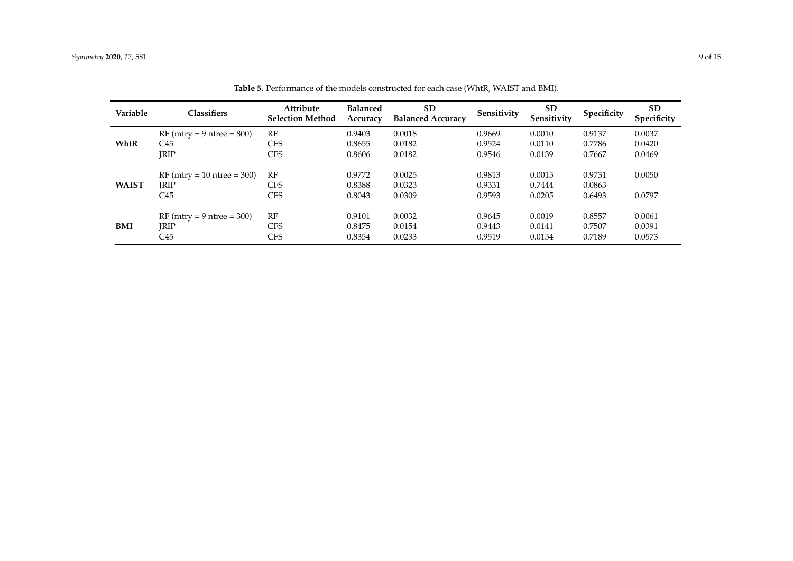<span id="page-8-0"></span>

| Variable     | Classifiers                  | <b>Attribute</b><br><b>Selection Method</b> | <b>Balanced</b><br>Accuracy | <b>SD</b><br><b>Balanced Accuracy</b> | Sensitivity | <b>SD</b><br>Sensitivity | Specificity | SD.<br>Specificity |
|--------------|------------------------------|---------------------------------------------|-----------------------------|---------------------------------------|-------------|--------------------------|-------------|--------------------|
|              | $RF$ (mtry = 9 ntree = 800)  | RF                                          | 0.9403                      | 0.0018                                | 0.9669      | 0.0010                   | 0.9137      | 0.0037             |
| WhtR         | C45                          | CFS                                         | 0.8655                      | 0.0182                                | 0.9524      | 0.0110                   | 0.7786      | 0.0420             |
|              | IRIP                         | CFS                                         | 0.8606                      | 0.0182                                | 0.9546      | 0.0139                   | 0.7667      | 0.0469             |
|              | $RF$ (mtry = 10 ntree = 300) | RF                                          | 0.9772                      | 0.0025                                | 0.9813      | 0.0015                   | 0.9731      | 0.0050             |
| <b>WAIST</b> | <b>IRIP</b>                  | CFS                                         | 0.8388                      | 0.0323                                | 0.9331      | 0.7444                   | 0.0863      |                    |
|              | C45                          | CFS                                         | 0.8043                      | 0.0309                                | 0.9593      | 0.0205                   | 0.6493      | 0.0797             |
|              | $RF$ (mtry = 9 ntree = 300)  | RF                                          | 0.9101                      | 0.0032                                | 0.9645      | 0.0019                   | 0.8557      | 0.0061             |
| <b>BMI</b>   | IRIP                         | CFS                                         | 0.8475                      | 0.0154                                | 0.9443      | 0.0141                   | 0.7507      | 0.0391             |
|              | C45                          | CFS                                         | 0.8354                      | 0.0233                                | 0.9519      | 0.0154                   | 0.7189      | 0.0573             |

**Table 5.** Performance of the models constructed for each case (WhtR, WAIST and BMI).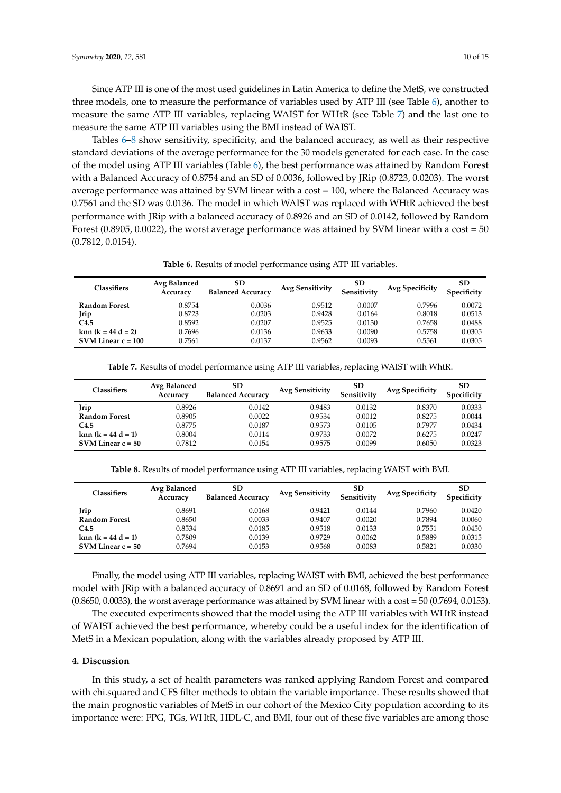Since ATP III is one of the most used guidelines in Latin America to define the MetS, we constructed three models, one to measure the performance of variables used by ATP III (see Table [6\)](#page-9-1), another to measure the same ATP III variables, replacing WAIST for WHtR (see Table [7\)](#page-9-2) and the last one to measure the same ATP III variables using the BMI instead of WAIST.

Tables [6](#page-9-1)[–8](#page-9-3) show sensitivity, specificity, and the balanced accuracy, as well as their respective standard deviations of the average performance for the 30 models generated for each case. In the case of the model using ATP III variables (Table [6\)](#page-9-1), the best performance was attained by Random Forest with a Balanced Accuracy of 0.8754 and an SD of 0.0036, followed by JRip (0.8723, 0.0203). The worst average performance was attained by SVM linear with a cost = 100, where the Balanced Accuracy was 0.7561 and the SD was 0.0136. The model in which WAIST was replaced with WHtR achieved the best performance with JRip with a balanced accuracy of 0.8926 and an SD of 0.0142, followed by Random Forest (0.8905, 0.0022), the worst average performance was attained by SVM linear with a  $cost = 50$ (0.7812, 0.0154).

**Table 6.** Results of model performance using ATP III variables.

<span id="page-9-1"></span>

| Classifiers                                    | Avg Balanced<br>Accuracy | SD<br><b>Balanced Accuracy</b> | <b>Avg Sensitivity</b> | <b>SD</b><br>Sensitivity | Avg Specificity | <b>SD</b><br>Specificity |
|------------------------------------------------|--------------------------|--------------------------------|------------------------|--------------------------|-----------------|--------------------------|
| <b>Random Forest</b>                           | 0.8754                   | 0.0036                         | 0.9512                 | 0.0007                   | 0.7996          | 0.0072                   |
| Jrip                                           | 0.8723                   | 0.0203                         | 0.9428                 | 0.0164                   | 0.8018          | 0.0513                   |
| C4.5                                           | 0.8592                   | 0.0207                         | 0.9525                 | 0.0130                   | 0.7658          | 0.0488                   |
| $\text{knn}$ ( $\text{k} = 44 \text{ d} = 2$ ) | 0.7696                   | 0.0136                         | 0.9633                 | 0.0090                   | 0.5758          | 0.0305                   |
| SVM Linear $c = 100$                           | 0.7561                   | 0.0137                         | 0.9562                 | 0.0093                   | 0.5561          | 0.0305                   |

**Table 7.** Results of model performance using ATP III variables, replacing WAIST with WhtR.

<span id="page-9-2"></span>

| Classifiers                                    | Avg Balanced<br>Accuracy | <b>SD</b><br><b>Balanced Accuracy</b> | <b>Avg Sensitivity</b> | SD.<br>Sensitivity | Avg Specificity | <b>SD</b><br>Specificity |
|------------------------------------------------|--------------------------|---------------------------------------|------------------------|--------------------|-----------------|--------------------------|
| Jrip                                           | 0.8926                   | 0.0142                                | 0.9483                 | 0.0132             | 0.8370          | 0.0333                   |
| <b>Random Forest</b>                           | 0.8905                   | 0.0022                                | 0.9534                 | 0.0012             | 0.8275          | 0.0044                   |
| C <sub>4.5</sub>                               | 0.8775                   | 0.0187                                | 0.9573                 | 0.0105             | 0.7977          | 0.0434                   |
| $\text{knn}$ ( $\text{k} = 44 \text{ d} = 1$ ) | 0.8004                   | 0.0114                                | 0.9733                 | 0.0072             | 0.6275          | 0.0247                   |
| SVM Linear $c = 50$                            | 0.7812                   | 0.0154                                | 0.9575                 | 0.0099             | 0.6050          | 0.0323                   |

**Table 8.** Results of model performance using ATP III variables, replacing WAIST with BMI.

<span id="page-9-3"></span>

| Classifiers                                    | Avg Balanced<br>Accuracy | SD<br><b>Balanced Accuracy</b> | Avg Sensitivity | SD<br>Sensitivity | Avg Specificity | SD<br>Specificity |
|------------------------------------------------|--------------------------|--------------------------------|-----------------|-------------------|-----------------|-------------------|
| Jrip                                           | 0.8691                   | 0.0168                         | 0.9421          | 0.0144            | 0.7960          | 0.0420            |
| <b>Random Forest</b>                           | 0.8650                   | 0.0033                         | 0.9407          | 0.0020            | 0.7894          | 0.0060            |
| C <sub>4.5</sub>                               | 0.8534                   | 0.0185                         | 0.9518          | 0.0133            | 0.7551          | 0.0450            |
| $\text{knn}$ ( $\text{k} = 44 \text{ d} = 1$ ) | 0.7809                   | 0.0139                         | 0.9729          | 0.0062            | 0.5889          | 0.0315            |
| SVM Linear $c = 50$                            | 0.7694                   | 0.0153                         | 0.9568          | 0.0083            | 0.5821          | 0.0330            |

Finally, the model using ATP III variables, replacing WAIST with BMI, achieved the best performance model with JRip with a balanced accuracy of 0.8691 and an SD of 0.0168, followed by Random Forest (0.8650, 0.0033), the worst average performance was attained by SVM linear with a cost = 50 (0.7694, 0.0153).

The executed experiments showed that the model using the ATP III variables with WHtR instead of WAIST achieved the best performance, whereby could be a useful index for the identification of MetS in a Mexican population, along with the variables already proposed by ATP III.

## <span id="page-9-0"></span>**4. Discussion**

In this study, a set of health parameters was ranked applying Random Forest and compared with chi.squared and CFS filter methods to obtain the variable importance. These results showed that the main prognostic variables of MetS in our cohort of the Mexico City population according to its importance were: FPG, TGs, WHtR, HDL-C, and BMI, four out of these five variables are among those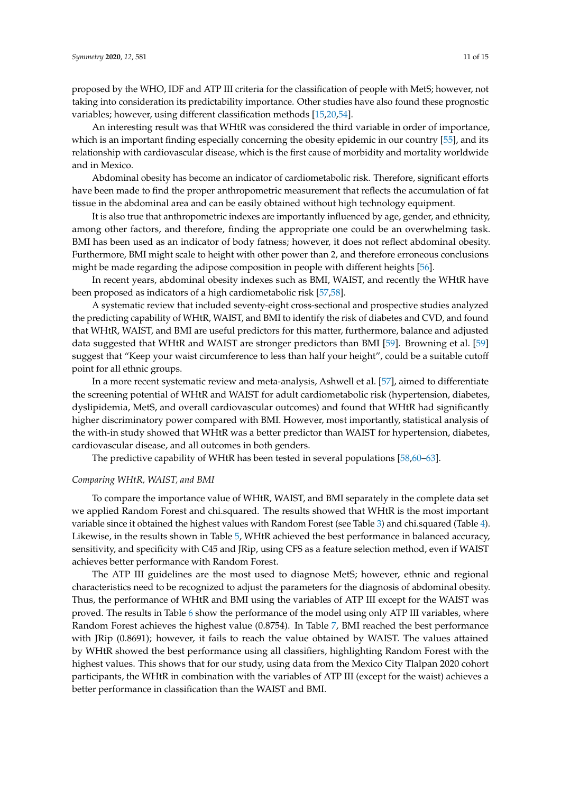proposed by the WHO, IDF and ATP III criteria for the classification of people with MetS; however, not taking into consideration its predictability importance. Other studies have also found these prognostic variables; however, using different classification methods [\[15](#page-12-8)[,20,](#page-12-13)[54\]](#page-14-1).

An interesting result was that WHtR was considered the third variable in order of importance, which is an important finding especially concerning the obesity epidemic in our country [\[55\]](#page-14-2), and its relationship with cardiovascular disease, which is the first cause of morbidity and mortality worldwide and in Mexico.

Abdominal obesity has become an indicator of cardiometabolic risk. Therefore, significant efforts have been made to find the proper anthropometric measurement that reflects the accumulation of fat tissue in the abdominal area and can be easily obtained without high technology equipment.

It is also true that anthropometric indexes are importantly influenced by age, gender, and ethnicity, among other factors, and therefore, finding the appropriate one could be an overwhelming task. BMI has been used as an indicator of body fatness; however, it does not reflect abdominal obesity. Furthermore, BMI might scale to height with other power than 2, and therefore erroneous conclusions might be made regarding the adipose composition in people with different heights [\[56\]](#page-14-3).

In recent years, abdominal obesity indexes such as BMI, WAIST, and recently the WHtR have been proposed as indicators of a high cardiometabolic risk [\[57](#page-14-4)[,58\]](#page-14-5).

A systematic review that included seventy-eight cross-sectional and prospective studies analyzed the predicting capability of WHtR, WAIST, and BMI to identify the risk of diabetes and CVD, and found that WHtR, WAIST, and BMI are useful predictors for this matter, furthermore, balance and adjusted data suggested that WHtR and WAIST are stronger predictors than BMI [\[59\]](#page-14-6). Browning et al. [\[59\]](#page-14-6) suggest that "Keep your waist circumference to less than half your height", could be a suitable cutoff point for all ethnic groups.

In a more recent systematic review and meta-analysis, Ashwell et al. [\[57\]](#page-14-4), aimed to differentiate the screening potential of WHtR and WAIST for adult cardiometabolic risk (hypertension, diabetes, dyslipidemia, MetS, and overall cardiovascular outcomes) and found that WHtR had significantly higher discriminatory power compared with BMI. However, most importantly, statistical analysis of the with-in study showed that WHtR was a better predictor than WAIST for hypertension, diabetes, cardiovascular disease, and all outcomes in both genders.

The predictive capability of WHtR has been tested in several populations [\[58](#page-14-5)[,60](#page-14-7)[–63\]](#page-14-8).

## *Comparing WHtR, WAIST, and BMI*

To compare the importance value of WHtR, WAIST, and BMI separately in the complete data set we applied Random Forest and chi.squared. The results showed that WHtR is the most important variable since it obtained the highest values with Random Forest (see Table [3\)](#page-7-0) and chi.squared (Table [4\)](#page-7-1). Likewise, in the results shown in Table [5,](#page-8-0) WHtR achieved the best performance in balanced accuracy, sensitivity, and specificity with C45 and JRip, using CFS as a feature selection method, even if WAIST achieves better performance with Random Forest.

The ATP III guidelines are the most used to diagnose MetS; however, ethnic and regional characteristics need to be recognized to adjust the parameters for the diagnosis of abdominal obesity. Thus, the performance of WHtR and BMI using the variables of ATP III except for the WAIST was proved. The results in Table [6](#page-9-1) show the performance of the model using only ATP III variables, where Random Forest achieves the highest value (0.8754). In Table [7,](#page-9-2) BMI reached the best performance with JRip (0.8691); however, it fails to reach the value obtained by WAIST. The values attained by WHtR showed the best performance using all classifiers, highlighting Random Forest with the highest values. This shows that for our study, using data from the Mexico City Tlalpan 2020 cohort participants, the WHtR in combination with the variables of ATP III (except for the waist) achieves a better performance in classification than the WAIST and BMI.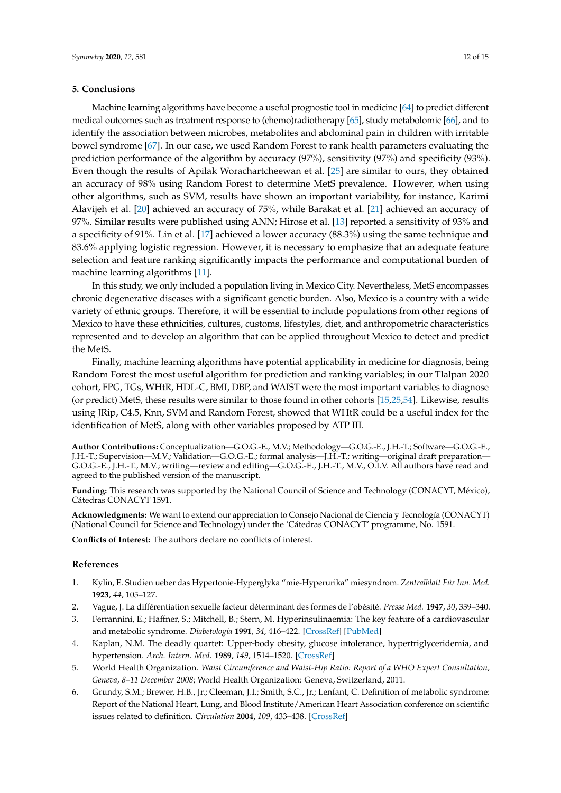## <span id="page-11-6"></span>**5. Conclusions**

Machine learning algorithms have become a useful prognostic tool in medicine [\[64\]](#page-14-9) to predict different medical outcomes such as treatment response to (chemo)radiotherapy [\[65\]](#page-14-10), study metabolomic [\[66\]](#page-14-11), and to identify the association between microbes, metabolites and abdominal pain in children with irritable bowel syndrome [\[67\]](#page-14-12). In our case, we used Random Forest to rank health parameters evaluating the prediction performance of the algorithm by accuracy (97%), sensitivity (97%) and specificity (93%). Even though the results of Apilak Worachartcheewan et al. [\[25\]](#page-12-18) are similar to ours, they obtained an accuracy of 98% using Random Forest to determine MetS prevalence. However, when using other algorithms, such as SVM, results have shown an important variability, for instance, Karimi Alavijeh et al. [\[20\]](#page-12-13) achieved an accuracy of 75%, while Barakat et al. [\[21\]](#page-12-14) achieved an accuracy of 97%. Similar results were published using ANN; Hirose et al. [\[13\]](#page-12-6) reported a sensitivity of 93% and a specificity of 91%. Lin et al. [\[17\]](#page-12-10) achieved a lower accuracy (88.3%) using the same technique and 83.6% applying logistic regression. However, it is necessary to emphasize that an adequate feature selection and feature ranking significantly impacts the performance and computational burden of machine learning algorithms [\[11\]](#page-12-4).

In this study, we only included a population living in Mexico City. Nevertheless, MetS encompasses chronic degenerative diseases with a significant genetic burden. Also, Mexico is a country with a wide variety of ethnic groups. Therefore, it will be essential to include populations from other regions of Mexico to have these ethnicities, cultures, customs, lifestyles, diet, and anthropometric characteristics represented and to develop an algorithm that can be applied throughout Mexico to detect and predict the MetS.

Finally, machine learning algorithms have potential applicability in medicine for diagnosis, being Random Forest the most useful algorithm for prediction and ranking variables; in our Tlalpan 2020 cohort, FPG, TGs, WHtR, HDL-C, BMI, DBP, and WAIST were the most important variables to diagnose (or predict) MetS, these results were similar to those found in other cohorts [\[15,](#page-12-8)[25,](#page-12-18)[54\]](#page-14-1). Likewise, results using JRip, C4.5, Knn, SVM and Random Forest, showed that WHtR could be a useful index for the identification of MetS, along with other variables proposed by ATP III.

**Author Contributions:** Conceptualization—G.O.G.-E., M.V.; Methodology—G.O.G.-E., J.H.-T.; Software—G.O.G.-E., J.H.-T.; Supervision—M.V.; Validation—G.O.G.-E.; formal analysis—J.H.-T.; writing—original draft preparation— G.O.G.-E., J.H.-T., M.V.; writing—review and editing—G.O.G.-E., J.H.-T., M.V., O.I.V. All authors have read and agreed to the published version of the manuscript.

**Funding:** This research was supported by the National Council of Science and Technology (CONACYT, México), Cátedras CONACYT 1591.

**Acknowledgments:** We want to extend our appreciation to Consejo Nacional de Ciencia y Tecnología (CONACYT) (National Council for Science and Technology) under the 'Cátedras CONACYT' programme, No. 1591.

**Conflicts of Interest:** The authors declare no conflicts of interest.

#### **References**

- <span id="page-11-0"></span>1. Kylin, E. Studien ueber das Hypertonie-Hyperglyka "mie-Hyperurika" miesyndrom. *Zentralblatt Für Inn. Med.* **1923**, *44*, 105–127.
- <span id="page-11-1"></span>2. Vague, J. La différentiation sexuelle facteur déterminant des formes de l'obésité. *Presse Med.* **1947**, *30*, 339–340.
- <span id="page-11-2"></span>3. Ferrannini, E.; Haffner, S.; Mitchell, B.; Stern, M. Hyperinsulinaemia: The key feature of a cardiovascular and metabolic syndrome. *Diabetologia* **1991**, *34*, 416–422. [\[CrossRef\]](http://dx.doi.org/10.1007/BF00403180) [\[PubMed\]](http://www.ncbi.nlm.nih.gov/pubmed/1884900)
- <span id="page-11-3"></span>4. Kaplan, N.M. The deadly quartet: Upper-body obesity, glucose intolerance, hypertriglyceridemia, and hypertension. *Arch. Intern. Med.* **1989**, *149*, 1514–1520. [\[CrossRef\]](http://dx.doi.org/10.1001/archinte.1989.00390070054005)
- <span id="page-11-4"></span>5. World Health Organization. *Waist Circumference and Waist-Hip Ratio: Report of a WHO Expert Consultation, Geneva, 8–11 December 2008*; World Health Organization: Geneva, Switzerland, 2011.
- <span id="page-11-5"></span>6. Grundy, S.M.; Brewer, H.B., Jr.; Cleeman, J.I.; Smith, S.C., Jr.; Lenfant, C. Definition of metabolic syndrome: Report of the National Heart, Lung, and Blood Institute/American Heart Association conference on scientific issues related to definition. *Circulation* **2004**, *109*, 433–438. [\[CrossRef\]](http://dx.doi.org/10.1161/01.CIR.0000111245.75752.C6)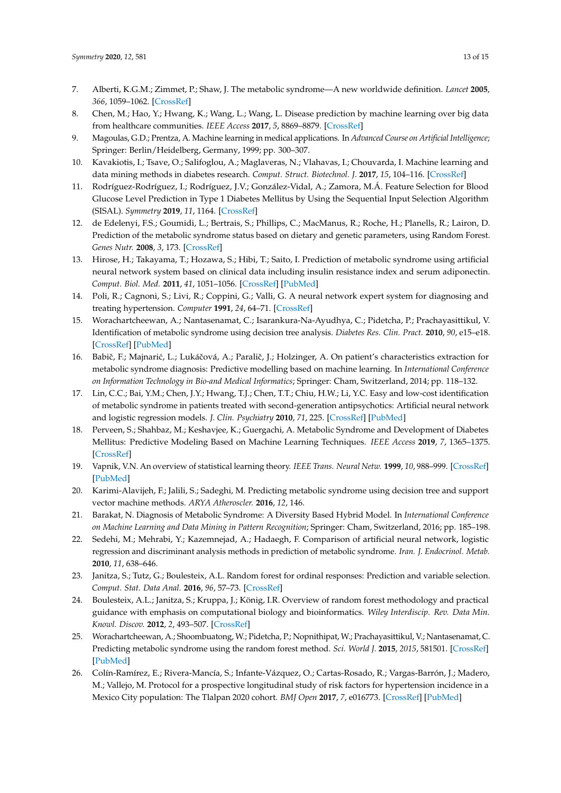- <span id="page-12-0"></span>7. Alberti, K.G.M.; Zimmet, P.; Shaw, J. The metabolic syndrome—A new worldwide definition. *Lancet* **2005**, *366*, 1059–1062. [\[CrossRef\]](http://dx.doi.org/10.1016/S0140-6736(05)67402-8)
- <span id="page-12-1"></span>8. Chen, M.; Hao, Y.; Hwang, K.; Wang, L.; Wang, L. Disease prediction by machine learning over big data from healthcare communities. *IEEE Access* **2017**, *5*, 8869–8879. [\[CrossRef\]](http://dx.doi.org/10.1109/ACCESS.2017.2694446)
- <span id="page-12-2"></span>9. Magoulas, G.D.; Prentza, A. Machine learning in medical applications. In *Advanced Course on Artificial Intelligence*; Springer: Berlin/Heidelberg, Germany, 1999; pp. 300–307.
- <span id="page-12-3"></span>10. Kavakiotis, I.; Tsave, O.; Salifoglou, A.; Maglaveras, N.; Vlahavas, I.; Chouvarda, I. Machine learning and data mining methods in diabetes research. *Comput. Struct. Biotechnol. J.* **2017**, *15*, 104–116. [\[CrossRef\]](http://dx.doi.org/10.1016/j.csbj.2016.12.005)
- <span id="page-12-4"></span>11. Rodríguez-Rodríguez, I.; Rodríguez, J.V.; González-Vidal, A.; Zamora, M.Á. Feature Selection for Blood Glucose Level Prediction in Type 1 Diabetes Mellitus by Using the Sequential Input Selection Algorithm (SISAL). *Symmetry* **2019**, *11*, 1164. [\[CrossRef\]](http://dx.doi.org/10.3390/sym11091164)
- <span id="page-12-5"></span>12. de Edelenyi, F.S.; Goumidi, L.; Bertrais, S.; Phillips, C.; MacManus, R.; Roche, H.; Planells, R.; Lairon, D. Prediction of the metabolic syndrome status based on dietary and genetic parameters, using Random Forest. *Genes Nutr.* **2008**, *3*, 173. [\[CrossRef\]](http://dx.doi.org/10.1007/s12263-008-0097-y)
- <span id="page-12-6"></span>13. Hirose, H.; Takayama, T.; Hozawa, S.; Hibi, T.; Saito, I. Prediction of metabolic syndrome using artificial neural network system based on clinical data including insulin resistance index and serum adiponectin. *Comput. Biol. Med.* **2011**, *41*, 1051–1056. [\[CrossRef\]](http://dx.doi.org/10.1016/j.compbiomed.2011.09.005) [\[PubMed\]](http://www.ncbi.nlm.nih.gov/pubmed/22000697)
- <span id="page-12-7"></span>14. Poli, R.; Cagnoni, S.; Livi, R.; Coppini, G.; Valli, G. A neural network expert system for diagnosing and treating hypertension. *Computer* **1991**, *24*, 64–71. [\[CrossRef\]](http://dx.doi.org/10.1109/2.73514)
- <span id="page-12-8"></span>15. Worachartcheewan, A.; Nantasenamat, C.; Isarankura-Na-Ayudhya, C.; Pidetcha, P.; Prachayasittikul, V. Identification of metabolic syndrome using decision tree analysis. *Diabetes Res. Clin. Pract.* **2010**, *90*, e15–e18. [\[CrossRef\]](http://dx.doi.org/10.1016/j.diabres.2010.06.009) [\[PubMed\]](http://www.ncbi.nlm.nih.gov/pubmed/20619912)
- <span id="page-12-9"></span>16. Babič, F.; Majnarić, L.; Lukáčová, A.; Paralič, J.; Holzinger, A. On patient's characteristics extraction for metabolic syndrome diagnosis: Predictive modelling based on machine learning. In *International Conference on Information Technology in Bio-and Medical Informatics*; Springer: Cham, Switzerland, 2014; pp. 118–132.
- <span id="page-12-10"></span>17. Lin, C.C.; Bai, Y.M.; Chen, J.Y.; Hwang, T.J.; Chen, T.T.; Chiu, H.W.; Li, Y.C. Easy and low-cost identification of metabolic syndrome in patients treated with second-generation antipsychotics: Artificial neural network and logistic regression models. *J. Clin. Psychiatry* **2010**, *71*, 225. [\[CrossRef\]](http://dx.doi.org/10.4088/JCP.08m04628yel) [\[PubMed\]](http://www.ncbi.nlm.nih.gov/pubmed/19814949)
- <span id="page-12-11"></span>18. Perveen, S.; Shahbaz, M.; Keshavjee, K.; Guergachi, A. Metabolic Syndrome and Development of Diabetes Mellitus: Predictive Modeling Based on Machine Learning Techniques. *IEEE Access* **2019**, *7*, 1365–1375. [\[CrossRef\]](http://dx.doi.org/10.1109/ACCESS.2018.2884249)
- <span id="page-12-12"></span>19. Vapnik, V.N. An overview of statistical learning theory. *IEEE Trans. Neural Netw.* **1999**, *10*, 988–999. [\[CrossRef\]](http://dx.doi.org/10.1109/72.788640) [\[PubMed\]](http://www.ncbi.nlm.nih.gov/pubmed/18252602)
- <span id="page-12-13"></span>20. Karimi-Alavijeh, F.; Jalili, S.; Sadeghi, M. Predicting metabolic syndrome using decision tree and support vector machine methods. *ARYA Atheroscler.* **2016**, *12*, 146.
- <span id="page-12-14"></span>21. Barakat, N. Diagnosis of Metabolic Syndrome: A Diversity Based Hybrid Model. In *International Conference on Machine Learning and Data Mining in Pattern Recognition*; Springer: Cham, Switzerland, 2016; pp. 185–198.
- <span id="page-12-15"></span>22. Sedehi, M.; Mehrabi, Y.; Kazemnejad, A.; Hadaegh, F. Comparison of artificial neural network, logistic regression and discriminant analysis methods in prediction of metabolic syndrome. *Iran. J. Endocrinol. Metab.* **2010**, *11*, 638–646.
- <span id="page-12-16"></span>23. Janitza, S.; Tutz, G.; Boulesteix, A.L. Random forest for ordinal responses: Prediction and variable selection. *Comput. Stat. Data Anal.* **2016**, *96*, 57–73. [\[CrossRef\]](http://dx.doi.org/10.1016/j.csda.2015.10.005)
- <span id="page-12-17"></span>24. Boulesteix, A.L.; Janitza, S.; Kruppa, J.; König, I.R. Overview of random forest methodology and practical guidance with emphasis on computational biology and bioinformatics. *Wiley Interdiscip. Rev. Data Min. Knowl. Discov.* **2012**, *2*, 493–507. [\[CrossRef\]](http://dx.doi.org/10.1002/widm.1072)
- <span id="page-12-18"></span>25. Worachartcheewan, A.; Shoombuatong, W.; Pidetcha, P.; Nopnithipat, W.; Prachayasittikul, V.; Nantasenamat, C. Predicting metabolic syndrome using the random forest method. *Sci. World J.* **2015**, *2015*, 581501. [\[CrossRef\]](http://dx.doi.org/10.1155/2015/581501) [\[PubMed\]](http://www.ncbi.nlm.nih.gov/pubmed/26290899)
- <span id="page-12-19"></span>26. Colín-Ramírez, E.; Rivera-Mancía, S.; Infante-Vázquez, O.; Cartas-Rosado, R.; Vargas-Barrón, J.; Madero, M.; Vallejo, M. Protocol for a prospective longitudinal study of risk factors for hypertension incidence in a Mexico City population: The Tlalpan 2020 cohort. *BMJ Open* **2017**, *7*, e016773. [\[CrossRef\]](http://dx.doi.org/10.1136/bmjopen-2017-016773) [\[PubMed\]](http://www.ncbi.nlm.nih.gov/pubmed/28760800)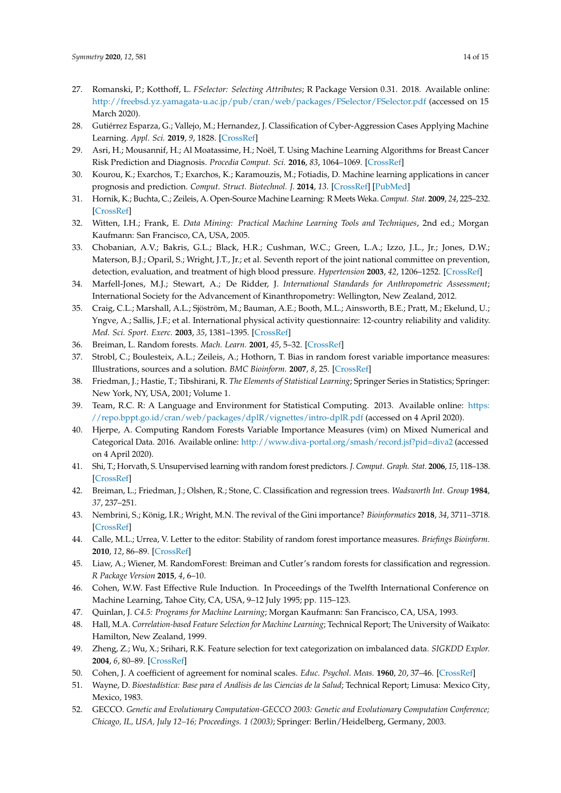- <span id="page-13-0"></span>27. Romanski, P.; Kotthoff, L. *FSelector: Selecting Attributes*; R Package Version 0.31. 2018. Available online: <http://freebsd.yz.yamagata-u.ac.jp/pub/cran/web/packages/FSelector/FSelector.pdf> (accessed on 15 March 2020).
- <span id="page-13-1"></span>28. Gutiérrez Esparza, G.; Vallejo, M.; Hernandez, J. Classification of Cyber-Aggression Cases Applying Machine Learning. *Appl. Sci.* **2019**, *9*, 1828. [\[CrossRef\]](http://dx.doi.org/10.3390/app9091828)
- 29. Asri, H.; Mousannif, H.; Al Moatassime, H.; Noël, T. Using Machine Learning Algorithms for Breast Cancer Risk Prediction and Diagnosis. *Procedia Comput. Sci.* **2016**, *83*, 1064–1069. [\[CrossRef\]](http://dx.doi.org/10.1016/j.procs.2016.04.224)
- <span id="page-13-2"></span>30. Kourou, K.; Exarchos, T.; Exarchos, K.; Karamouzis, M.; Fotiadis, D. Machine learning applications in cancer prognosis and prediction. *Comput. Struct. Biotechnol. J.* **2014**, *13*. [\[CrossRef\]](http://dx.doi.org/10.1016/j.csbj.2014.11.005) [\[PubMed\]](http://www.ncbi.nlm.nih.gov/pubmed/25750696)
- <span id="page-13-3"></span>31. Hornik, K.; Buchta, C.; Zeileis, A. Open-Source Machine Learning: R Meets Weka. *Comput. Stat.* **2009**, *24*, 225–232. [\[CrossRef\]](http://dx.doi.org/10.1007/s00180-008-0119-7)
- <span id="page-13-4"></span>32. Witten, I.H.; Frank, E. *Data Mining: Practical Machine Learning Tools and Techniques*, 2nd ed.; Morgan Kaufmann: San Francisco, CA, USA, 2005.
- <span id="page-13-5"></span>33. Chobanian, A.V.; Bakris, G.L.; Black, H.R.; Cushman, W.C.; Green, L.A.; Izzo, J.L., Jr.; Jones, D.W.; Materson, B.J.; Oparil, S.; Wright, J.T., Jr.; et al. Seventh report of the joint national committee on prevention, detection, evaluation, and treatment of high blood pressure. *Hypertension* **2003**, *42*, 1206–1252. [\[CrossRef\]](http://dx.doi.org/10.1161/01.HYP.0000107251.49515.c2)
- <span id="page-13-6"></span>34. Marfell-Jones, M.J.; Stewart, A.; De Ridder, J. *International Standards for Anthropometric Assessment*; International Society for the Advancement of Kinanthropometry: Wellington, New Zealand, 2012.
- <span id="page-13-7"></span>35. Craig, C.L.; Marshall, A.L.; Sjöström, M.; Bauman, A.E.; Booth, M.L.; Ainsworth, B.E.; Pratt, M.; Ekelund, U.; Yngve, A.; Sallis, J.F.; et al. International physical activity questionnaire: 12-country reliability and validity. *Med. Sci. Sport. Exerc.* **2003**, *35*, 1381–1395. [\[CrossRef\]](http://dx.doi.org/10.1249/01.MSS.0000078924.61453.FB)
- <span id="page-13-8"></span>36. Breiman, L. Random forests. *Mach. Learn.* **2001**, *45*, 5–32. [\[CrossRef\]](http://dx.doi.org/10.1023/A:1010933404324)
- <span id="page-13-9"></span>37. Strobl, C.; Boulesteix, A.L.; Zeileis, A.; Hothorn, T. Bias in random forest variable importance measures: Illustrations, sources and a solution. *BMC Bioinform.* **2007**, *8*, 25. [\[CrossRef\]](http://dx.doi.org/10.1186/1471-2105-8-25)
- <span id="page-13-10"></span>38. Friedman, J.; Hastie, T.; Tibshirani, R. *The Elements of Statistical Learning*; Springer Series in Statistics; Springer: New York, NY, USA, 2001; Volume 1.
- <span id="page-13-11"></span>39. Team, R.C. R: A Language and Environment for Statistical Computing. 2013. Available online: [https:](https://repo.bppt.go.id/cran/web/packages/dplR/vignettes/intro-dplR.pdf) [//repo.bppt.go.id/cran/web/packages/dplR/vignettes/intro-dplR.pdf](https://repo.bppt.go.id/cran/web/packages/dplR/vignettes/intro-dplR.pdf) (accessed on 4 April 2020).
- <span id="page-13-12"></span>40. Hjerpe, A. Computing Random Forests Variable Importance Measures (vim) on Mixed Numerical and Categorical Data. 2016. Available online: <http://www.diva-portal.org/smash/record.jsf?pid=diva2> (accessed on 4 April 2020).
- <span id="page-13-13"></span>41. Shi, T.; Horvath, S. Unsupervised learning with random forest predictors. *J. Comput. Graph. Stat.* **2006**, *15*, 118–138. [\[CrossRef\]](http://dx.doi.org/10.1198/106186006X94072)
- <span id="page-13-14"></span>42. Breiman, L.; Friedman, J.; Olshen, R.; Stone, C. Classification and regression trees. *Wadsworth Int. Group* **1984**, *37*, 237–251.
- <span id="page-13-15"></span>43. Nembrini, S.; König, I.R.; Wright, M.N. The revival of the Gini importance? *Bioinformatics* **2018**, *34*, 3711–3718. [\[CrossRef\]](http://dx.doi.org/10.1093/bioinformatics/bty373)
- <span id="page-13-16"></span>44. Calle, M.L.; Urrea, V. Letter to the editor: Stability of random forest importance measures. *Briefings Bioinform.* **2010**, *12*, 86–89. [\[CrossRef\]](http://dx.doi.org/10.1093/bib/bbq011)
- <span id="page-13-17"></span>45. Liaw, A.; Wiener, M. RandomForest: Breiman and Cutler's random forests for classification and regression. *R Package Version* **2015**, *4*, 6–10.
- <span id="page-13-18"></span>46. Cohen, W.W. Fast Effective Rule Induction. In Proceedings of the Twelfth International Conference on Machine Learning, Tahoe City, CA, USA, 9–12 July 1995; pp. 115–123.
- <span id="page-13-19"></span>47. Quinlan, J. *C4.5: Programs for Machine Learning*; Morgan Kaufmann: San Francisco, CA, USA, 1993.
- <span id="page-13-20"></span>48. Hall, M.A. *Correlation-based Feature Selection for Machine Learning*; Technical Report; The University of Waikato: Hamilton, New Zealand, 1999.
- <span id="page-13-21"></span>49. Zheng, Z.; Wu, X.; Srihari, R.K. Feature selection for text categorization on imbalanced data. *SIGKDD Explor.* **2004**, *6*, 80–89. [\[CrossRef\]](http://dx.doi.org/10.1145/1007730.1007741)
- <span id="page-13-22"></span>50. Cohen, J. A coefficient of agreement for nominal scales. *Educ. Psychol. Meas.* **1960**, *20*, 37–46. [\[CrossRef\]](http://dx.doi.org/10.1177/001316446002000104)
- <span id="page-13-23"></span>51. Wayne, D. *Bioestadística: Base para el Análisis de las Ciencias de la Salud*; Technical Report; Limusa: Mexico City, Mexico, 1983.
- <span id="page-13-24"></span>52. GECCO. *Genetic and Evolutionary Computation-GECCO 2003: Genetic and Evolutionary Computation Conference; Chicago, IL, USA, July 12–16; Proceedings. 1 (2003)*; Springer: Berlin/Heidelberg, Germany, 2003.